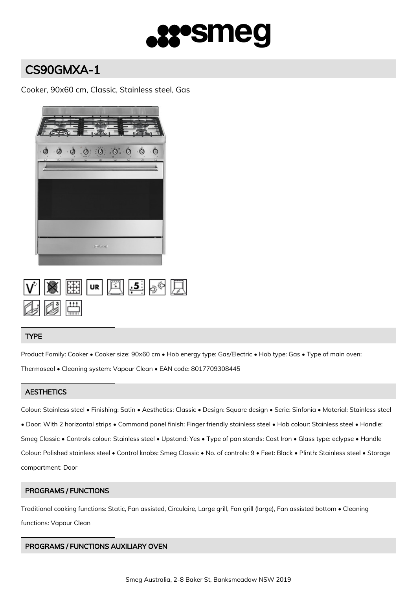

# CS90GMXA-1

Cooker, 90x60 cm, Classic, Stainless steel, Gas



|                     |  | $ V $ $\otimes$ $ E $ $ v $ $ E $ $ E $ $\otimes$ $ E $ |  |  |
|---------------------|--|---------------------------------------------------------|--|--|
| Qi Qi <del>Li</del> |  |                                                         |  |  |

## TYPE

Product Family: Cooker • Cooker size: 90x60 cm • Hob energy type: Gas/Electric • Hob type: Gas • Type of main oven: Thermoseal • Cleaning system: Vapour Clean • EAN code: 8017709308445

# **AESTHETICS**

Colour: Stainless steel • Finishing: Satin • Aesthetics: Classic • Design: Square design • Serie: Sinfonia • Material: Stainless steel • Door: With 2 horizontal strips • Command panel finish: Finger friendly stainless steel • Hob colour: Stainless steel • Handle: Smeg Classic • Controls colour: Stainless steel • Upstand: Yes • Type of pan stands: Cast Iron • Glass type: eclypse • Handle Colour: Polished stainless steel • Control knobs: Smeg Classic • No. of controls: 9 • Feet: Black • Plinth: Stainless steel • Storage compartment: Door

# PROGRAMS / FUNCTIONS

Traditional cooking functions: Static, Fan assisted, Circulaire, Large grill, Fan grill (large), Fan assisted bottom • Cleaning functions: Vapour Clean

# PROGRAMS / FUNCTIONS AUXILIARY OVEN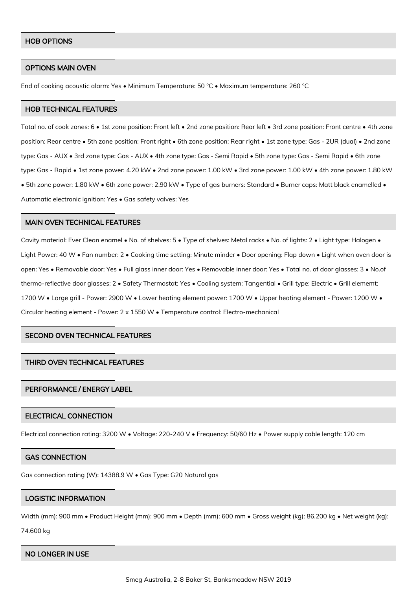## HOB OPTIONS

#### OPTIONS MAIN OVEN

End of cooking acoustic alarm: Yes • Minimum Temperature: 50 °C • Maximum temperature: 260 °C

## HOB TECHNICAL FEATURES

Total no. of cook zones: 6 • 1st zone position: Front left • 2nd zone position: Rear left • 3rd zone position: Front centre • 4th zone position: Rear centre • 5th zone position: Front right • 6th zone position: Rear right • 1st zone type: Gas - 2UR (dual) • 2nd zone type: Gas - AUX • 3rd zone type: Gas - AUX • 4th zone type: Gas - Semi Rapid • 5th zone type: Gas - Semi Rapid • 6th zone type: Gas - Rapid • 1st zone power: 4.20 kW • 2nd zone power: 1.00 kW • 3rd zone power: 1.00 kW • 4th zone power: 1.80 kW • 5th zone power: 1.80 kW • 6th zone power: 2.90 kW • Type of gas burners: Standard • Burner caps: Matt black enamelled • Automatic electronic ignition: Yes • Gas safety valves: Yes

#### MAIN OVEN TECHNICAL FEATURES

Cavity material: Ever Clean enamel • No. of shelves: 5 • Type of shelves: Metal racks • No. of lights: 2 • Light type: Halogen • Light Power: 40 W • Fan number: 2 • Cooking time setting: Minute minder • Door opening: Flap down • Light when oven door is open: Yes • Removable door: Yes • Full glass inner door: Yes • Removable inner door: Yes • Total no. of door glasses: 3 • No.of thermo-reflective door glasses: 2 • Safety Thermostat: Yes • Cooling system: Tangential • Grill type: Electric • Grill elememt: 1700 W • Large grill - Power: 2900 W • Lower heating element power: 1700 W • Upper heating element - Power: 1200 W • Circular heating element - Power: 2 x 1550 W • Temperature control: Electro-mechanical

# SECOND OVEN TECHNICAL FEATURES

## THIRD OVEN TECHNICAL FEATURES

## PERFORMANCE / ENERGY LABEL

## ELECTRICAL CONNECTION

Electrical connection rating: 3200 W • Voltage: 220-240 V • Frequency: 50/60 Hz • Power supply cable length: 120 cm

## GAS CONNECTION

Gas connection rating (W): 14388.9 W • Gas Type: G20 Natural gas

## LOGISTIC INFORMATION

Width (mm): 900 mm • Product Height (mm): 900 mm • Depth (mm): 600 mm • Gross weight (kg): 86.200 kg • Net weight (kg):

74.600 kg

#### NO LONGER IN USE